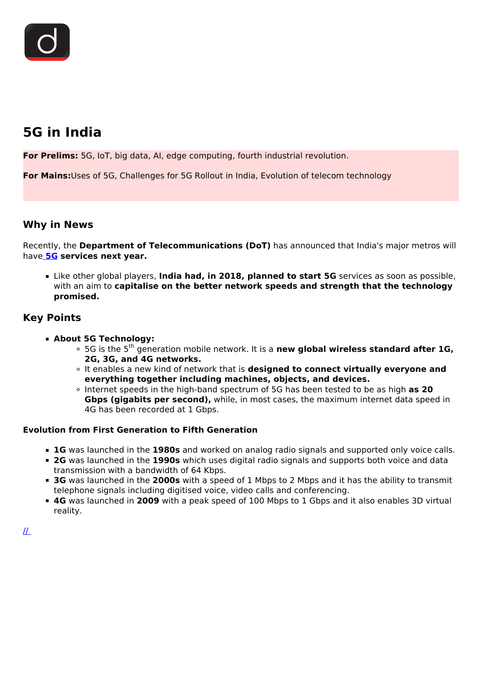# **5G in India**

**For Prelims:** 5G, IoT, big data, AI, edge computing, fourth industrial revolution.

**For Mains:**Uses of 5G, Challenges for 5G Rollout in India, Evolution of telecom technology

### **Why in News**

Recently, the **Department of Telecommunications (DoT)** has announced that India's major metros will have **[5G](/loksabha-rajyasabha-discussions/the-big-picture-5g-the-road-ahead) services next year.**

Like other global players, **India had, in 2018, planned to start 5G** services as soon as possible, with an aim to **capitalise on the better network speeds and strength that the technology promised.**

# **Key Points**

- **About 5G Technology:**
	- <sup>o</sup> 5G is the 5<sup>th</sup> generation mobile network. It is a **new global wireless standard after 1G, 2G, 3G, and 4G networks.**
	- It enables a new kind of network that is **designed to connect virtually everyone and everything together including machines, objects, and devices.**
	- Internet speeds in the high-band spectrum of 5G has been tested to be as high **as 20 Gbps (gigabits per second),** while, in most cases, the maximum internet data speed in 4G has been recorded at 1 Gbps.

### **Evolution from First Generation to Fifth Generation**

- **1G** was launched in the **1980s** and worked on analog radio signals and supported only voice calls.
- **2G** was launched in the **1990s** which uses digital radio signals and supports both voice and data transmission with a bandwidth of 64 Kbps.
- **3G** was launched in the **2000s** with a speed of 1 Mbps to 2 Mbps and it has the ability to transmit telephone signals including digitised voice, video calls and conferencing.
- **4G** was launched in **2009** with a peak speed of 100 Mbps to 1 Gbps and it also enables 3D virtual reality.

 $I\!I$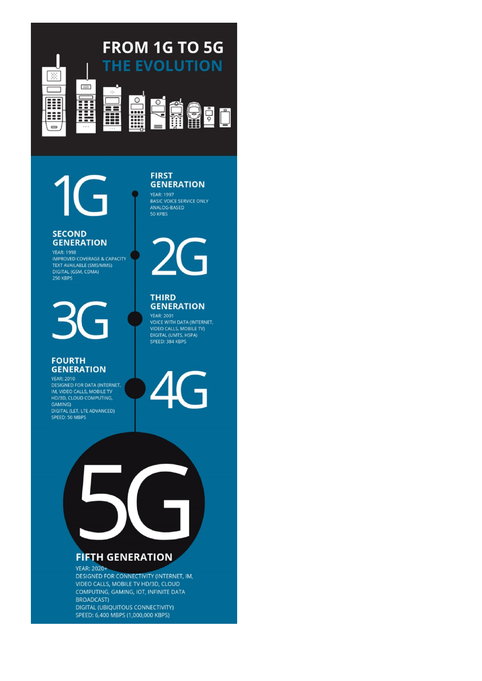

1

### **SECOND GENERATION**

**IMPROVED COVERAGE & CAPACITY** TEXT AVAILABLE (SMS/MMS) DIGITAL (GSM, CDMA)<br>250 KBPS

### **FOURTH GENERATION**

**YEAR: 2010 DESIGNED FOR DATA (INTERNET,** IM, VIDEO CALLS, MOBILE TV HD/3D, CLOUD COMPUTING, GAMING) DIGITAL (LET, LTE ADVANCED)<br>SPEED: 50 MBPS



YEAR: 1997<br>BASIC VOICE SERVICE ONLY<br>ANALOG-BASED 50 KPBS



#### **THIRD GENERATION**

**YEAR: 2001 VOICE WITH DATA (INTERNET,** VIDEO CALLS, MOBILE TV)<br>DIGITAL (UMTS, HSPA) SPEED: 384 KBPS



# **FIFTH GENERATION**

**YEAR: 2020+** DESIGNED FOR CONNECTIVITY (INTERNET, IM, VIDEO CALLS, MOBILE TV HD/3D, CLOUD COMPUTING, GAMING, IOT, INFINITE DATA **BROADCAST) DIGITAL (UBIQUITOUS CONNECTIVITY)** SPEED: 6,400 MBPS (1,000,000 KBPS)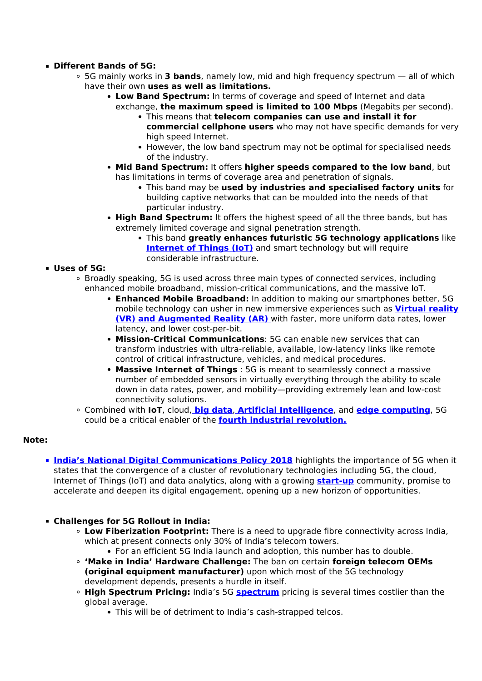### **Different Bands of 5G:**

- 5G mainly works in **3 bands**, namely low, mid and high frequency spectrum all of which have their own **uses as well as limitations.**
	- **Low Band Spectrum:** In terms of coverage and speed of Internet and data exchange, **the maximum speed is limited to 100 Mbps** (Megabits per second).
		- This means that **telecom companies can use and install it for commercial cellphone users** who may not have specific demands for very high speed Internet.
		- However, the low band spectrum may not be optimal for specialised needs of the industry.
	- **Mid Band Spectrum:** It offers **higher speeds compared to the low band**, but has limitations in terms of coverage area and penetration of signals.
		- This band may be **used by industries and specialised factory units** for building captive networks that can be moulded into the needs of that particular industry.
	- **High Band Spectrum:** It offers the highest speed of all the three bands, but has extremely limited coverage and signal penetration strength.
		- This band **greatly enhances futuristic 5G technology applications** like **[Internet of Things \(IoT\)](/daily-updates/daily-news-editorials/india-must-get-on-the-iot-highway-fast)** and smart technology but will require considerable infrastructure.

### **Uses of 5G:**

- Broadly speaking, 5G is used across three main types of connected services, including enhanced mobile broadband, mission-critical communications, and the massive IoT.
	- **Enhanced Mobile Broadband:** In addition to making our smartphones better, 5G mobile technology can usher in new immersive experiences such as **[Virtual reality](/printpdf/boeing-horizonX-india-innovation-challenge-bhiic) [\(VR\) and Augmented Reality \(AR\)](/printpdf/boeing-horizonX-india-innovation-challenge-bhiic)** [w](/printpdf/boeing-horizonX-india-innovation-challenge-bhiic)ith faster, more uniform data rates, lower latency, and lower cost-per-bit.
	- **Mission-Critical Communications**: 5G can enable new services that can transform industries with ultra-reliable, available, low-latency links like remote control of critical infrastructure, vehicles, and medical procedures.
	- **Massive Internet of Things** : 5G is meant to seamlessly connect a massive number of embedded sensors in virtually everything through the ability to scale down in data rates, power, and mobility—providing extremely lean and low-cost connectivity solutions.
- Combined with **IoT**, cloud, **[big data](/to-the-points/paper3/big-data-1)**, **[Artificial Intelligence](/loksabha-rajyasabha-discussions/in-depth-artificial-intelligence)**, and **[edge computing](/daily-updates/daily-news-analysis/edge-computing#:~:text=Edge%20computing%20is%20defined%20as,as%20endpoints%20like%20laptops%2C%20tablets.)**, 5G could be a critical enabler of the **[fourth industrial revolution.](/loksabha-rajyasabha-discussions/in-depth-industrial-revolution-4-0)**

### **Note:**

- **[India's National Digital Communications Policy 2018](/daily-updates/daily-news-analysis/the-national-digital-communications-policy-2018#:~:text=The%20new%20National%20Digital%20Communications,in%20the%20Telecom%20Sector.)** highlights the importance of 5G when it states that the convergence of a cluster of revolutionary technologies including 5G, the cloud, Internet of Things (IoT) and data analytics, along with a growing **[start-up](/daily-updates/daily-news-analysis/the-start-up-india-fund)** community, promise to accelerate and deepen its digital engagement, opening up a new horizon of opportunities.
- **Challenges for 5G Rollout in India:**
	- **Low Fiberization Footprint:** There is a need to upgrade fibre connectivity across India, which at present connects only 30% of India's telecom towers.
	- For an efficient 5G India launch and adoption, this number has to double. **'Make in India' Hardware Challenge:** The ban on certain **foreign telecom OEMs**
	- **(original equipment manufacturer)** upon which most of the 5G technology development depends, presents a hurdle in itself.
	- **High Spectrum Pricing:** India's 5G **[spectrum](/daily-updates/daily-news-analysis/spectrum-auctions)** pricing is several times costlier than the global average.
		- This will be of detriment to India's cash-strapped telcos.